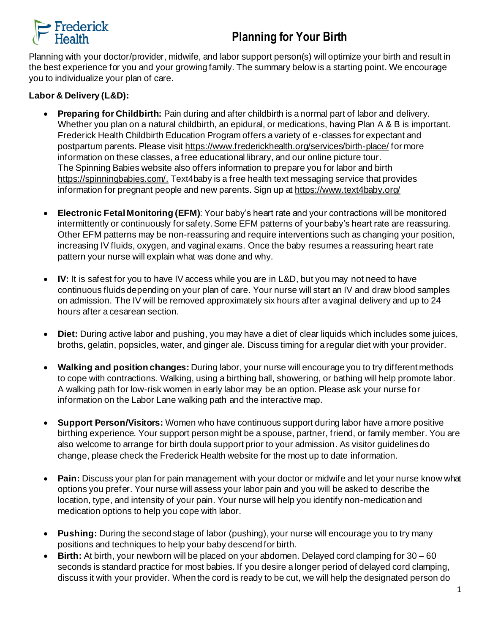## **Planning for Your Birth**



Planning with your doctor/provider, midwife, and labor support person(s) will optimize your birth and result in the best experience for you and your growing family. The summary below is a starting point. We encourage you to individualize your plan of care.

## **Labor & Delivery (L&D):**

- **Preparing for Childbirth:** Pain during and after childbirth is a normal part of labor and delivery. Whether you plan on a natural childbirth, an epidural, or medications, having Plan A & B is important. Frederick Health Childbirth Education Program offers a variety of e-classes for expectant and postpartum parents. Please visit<https://www.frederickhealth.org/services/birth-place/> for more information on these classes, a free educational library, and our online picture tour. The Spinning Babies website also offers information to prepare you for labor and birth [https://spinningbabies.com/.](https://spinningbabies.com/) Text4baby is a free health text messaging service that provides information for pregnant people and new parents. Sign up at<https://www.text4baby.org/>
- **Electronic Fetal Monitoring (EFM)**: Your baby's heart rate and your contractions will be monitored intermittently or continuously for safety. Some EFM patterns of your baby's heart rate are reassuring. Other EFM patterns may be non-reassuring and require interventions such as changing your position, increasing IV fluids, oxygen, and vaginal exams. Once the baby resumes a reassuring heart rate pattern your nurse will explain what was done and why.
- **IV:** It is safest for you to have IV access while you are in L&D, but you may not need to have continuous fluids depending on your plan of care. Your nurse will start an IV and draw blood samples on admission. The IV will be removed approximately six hours after a vaginal delivery and up to 24 hours after a cesarean section.
- **Diet:** During active labor and pushing, you may have a diet of clear liquids which includes some juices, broths, gelatin, popsicles, water, and ginger ale. Discuss timing for a regular diet with your provider.
- **Walking and position changes:** During labor, your nurse will encourage you to try different methods to cope with contractions. Walking, using a birthing ball, showering, or bathing will help promote labor. A walking path for low-risk women in early labor may be an option. Please ask your nurse for information on the Labor Lane walking path and the interactive map.
- **Support Person/Visitors:** Women who have continuous support during labor have a more positive birthing experience. Your support person might be a spouse, partner, friend, or family member. You are also welcome to arrange for birth doula support prior to your admission. As visitor guidelines do change, please check the Frederick Health website for the most up to date information.
- **Pain:** Discuss your plan for pain management with your doctor or midwife and let your nurse know what options you prefer. Your nurse will assess your labor pain and you will be asked to describe the location, type, and intensity of your pain. Your nurse will help you identify non-medication and medication options to help you cope with labor.
- **Pushing:** During the second stage of labor (pushing), your nurse will encourage you to try many positions and techniques to help your baby descend for birth.
- **Birth:** At birth, your newborn will be placed on your abdomen. Delayed cord clamping for 30 60 seconds is standard practice for most babies. If you desire a longer period of delayed cord clamping, discuss it with your provider. When the cord is ready to be cut, we will help the designated person do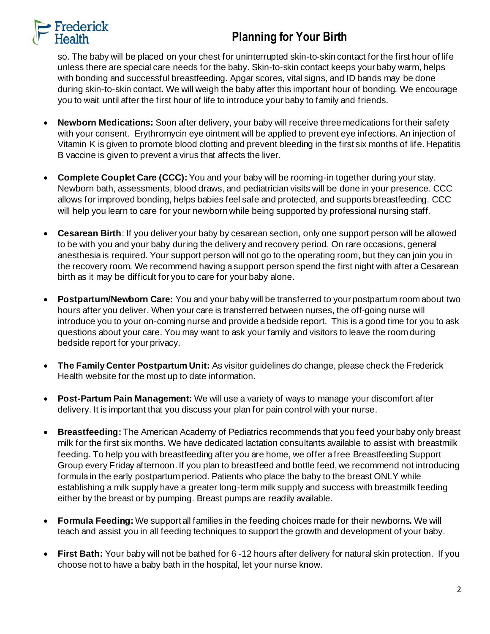

## **Planning for Your Birth**

so. The baby will be placed on your chest for uninterrupted skin-to-skin contact for the first hour of life unless there are special care needs for the baby. Skin-to-skin contact keeps your baby warm, helps with bonding and successful breastfeeding. Apgar scores, vital signs, and ID bands may be done during skin-to-skin contact. We will weigh the baby after this important hour of bonding. We encourage you to wait until after the first hour of life to introduce your baby to family and friends.

- **Newborn Medications:** Soon after delivery, your baby will receive three medications for their safety with your consent. Erythromycin eye ointment will be applied to prevent eye infections. An injection of Vitamin K is given to promote blood clotting and prevent bleeding in the first six months of life. Hepatitis B vaccine is given to prevent a virus that affects the liver.
- **Complete Couplet Care (CCC):** You and your baby will be rooming-in together during your stay. Newborn bath, assessments, blood draws, and pediatrician visits will be done in your presence. CCC allows for improved bonding, helps babies feel safe and protected, and supports breastfeeding. CCC will help you learn to care for your newborn while being supported by professional nursing staff.
- **Cesarean Birth**: If you deliver your baby by cesarean section, only one support person will be allowed to be with you and your baby during the delivery and recovery period. On rare occasions, general anesthesia is required. Your support person will not go to the operating room, but they can join you in the recovery room. We recommend having a support person spend the first night with after a Cesarean birth as it may be difficult for you to care for your baby alone.
- **Postpartum/Newborn Care:** You and your baby will be transferred to your postpartum room about two hours after you deliver. When your care is transferred between nurses, the off-going nurse will introduce you to your on-coming nurse and provide a bedside report. This is a good time for you to ask questions about your care. You may want to ask your family and visitors to leave the room during bedside report for your privacy.
- **The Family Center Postpartum Unit:** As visitor guidelines do change, please check the Frederick Health website for the most up to date information.
- **Post-Partum Pain Management:** We will use a variety of ways to manage your discomfort after delivery. It is important that you discuss your plan for pain control with your nurse.
- **Breastfeeding:** The American Academy of Pediatrics recommends that you feed your baby only breast milk for the first six months. We have dedicated lactation consultants available to assist with breastmilk feeding. To help you with breastfeeding after you are home, we offer a free Breastfeeding Support Group every Friday afternoon. If you plan to breastfeed and bottle feed, we recommend not introducing formula in the early postpartum period. Patients who place the baby to the breast ONLY while establishing a milk supply have a greater long-term milk supply and success with breastmilk feeding either by the breast or by pumping. Breast pumps are readily available.
- **Formula Feeding:** We support all families in the feeding choices made for their newborns**.** We will teach and assist you in all feeding techniques to support the growth and development of your baby.
- **First Bath:** Your baby will not be bathed for 6 -12 hours after delivery for natural skin protection. If you choose not to have a baby bath in the hospital, let your nurse know.